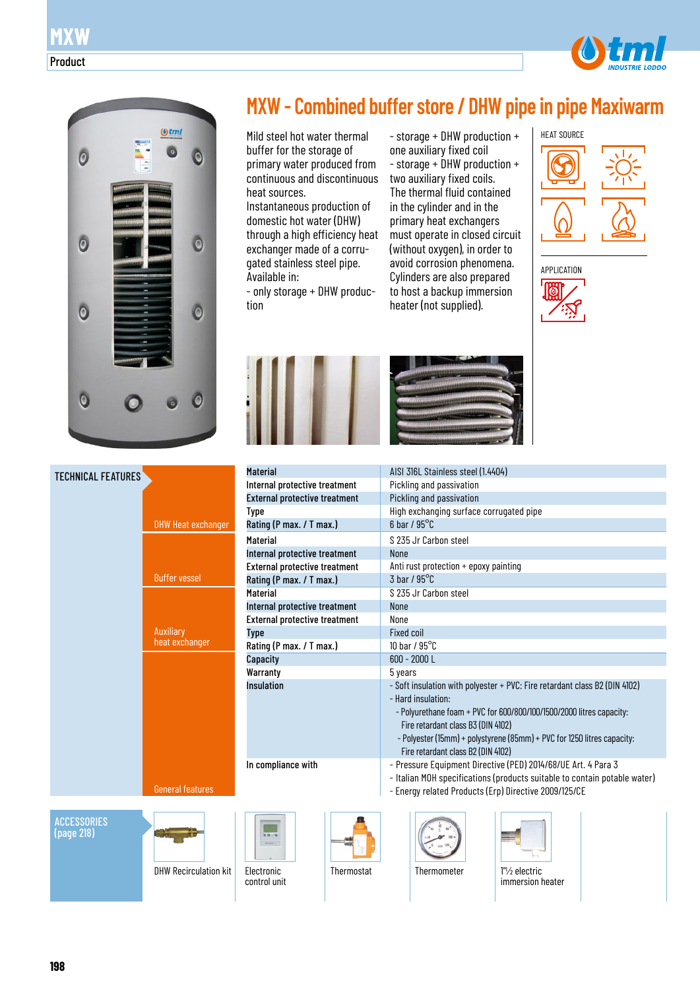



# DHW Heat exchanger Buffer vessel Auxiliary heat exchanger General features TECHNICAL FEATURES **ACCESSORIES** (page 218)





control unit









## **MXW - Combined buffer store / DHW pipe in pipe Maxiwarm**

Mild steel hot water thermal buffer for the storage of primary water produced from continuous and discontinuous heat sources. Instantaneous production of domestic hot water (DHW) through a high efficiency heat exchanger made of a corrugated stainless steel pipe. Available in: - only storage + DHW produc-

tion

- storage + DHW production + one auxiliary fixed coil - storage + DHW production + two auxiliary fixed coils. The thermal fluid contained in the cylinder and in the primary heat exchangers must operate in closed circuit (without oxygen), in order to avoid corrosion phenomena. Cylinders are also prepared to host a backup immersion heater (not supplied).







| <b>Material</b>                      | AISI 316L Stainless steel (1.4404)                                                                                                                                                                  |
|--------------------------------------|-----------------------------------------------------------------------------------------------------------------------------------------------------------------------------------------------------|
| Internal protective treatment        | Pickling and passivation                                                                                                                                                                            |
| <b>External protective treatment</b> | Pickling and passivation                                                                                                                                                                            |
| Type                                 | High exchanging surface corrugated pipe                                                                                                                                                             |
| Rating (P max. / T max.)             | $6$ bar / $95^{\circ}$ C                                                                                                                                                                            |
| <b>Material</b>                      | S 235 Jr Carbon steel                                                                                                                                                                               |
| Internal protective treatment        | None                                                                                                                                                                                                |
| <b>External protective treatment</b> | Anti rust protection + epoxy painting                                                                                                                                                               |
| Rating (P max. / T max.)             | $3$ bar / $95^{\circ}$ C                                                                                                                                                                            |
| <b>Material</b>                      | S 235 Jr Carbon steel                                                                                                                                                                               |
| Internal protective treatment        | <b>None</b>                                                                                                                                                                                         |
| <b>External protective treatment</b> | <b>None</b>                                                                                                                                                                                         |
| <b>Type</b>                          | <b>Fixed coil</b>                                                                                                                                                                                   |
| Rating (P max. / T max.)             | 10 bar / $95^{\circ}$ C                                                                                                                                                                             |
| Capacity                             | $600 - 2000$ L                                                                                                                                                                                      |
| Warranty                             | 5 years                                                                                                                                                                                             |
| <b>Insulation</b>                    | - Soft insulation with polyester + PVC: Fire retardant class B2 (DIN 4102)<br>- Hard insulation:                                                                                                    |
|                                      | - Polyurethane foam + PVC for 600/800/100/1500/2000 litres capacity:<br>Fire retardant class B3 (DIN 4102)                                                                                          |
|                                      | - Polyester (15mm) + polystyrene (85mm) + PVC for 1250 litres capacity:<br>Fire retardant class B2 (DIN 4102)                                                                                       |
| In compliance with                   | - Pressure Equipment Directive (PED) 2014/68/UE Art. 4 Para 3<br>- Italian MOH specifications (products suitable to contain potable water)<br>- Energy related Products (Erp) Directive 2009/125/CE |

**198**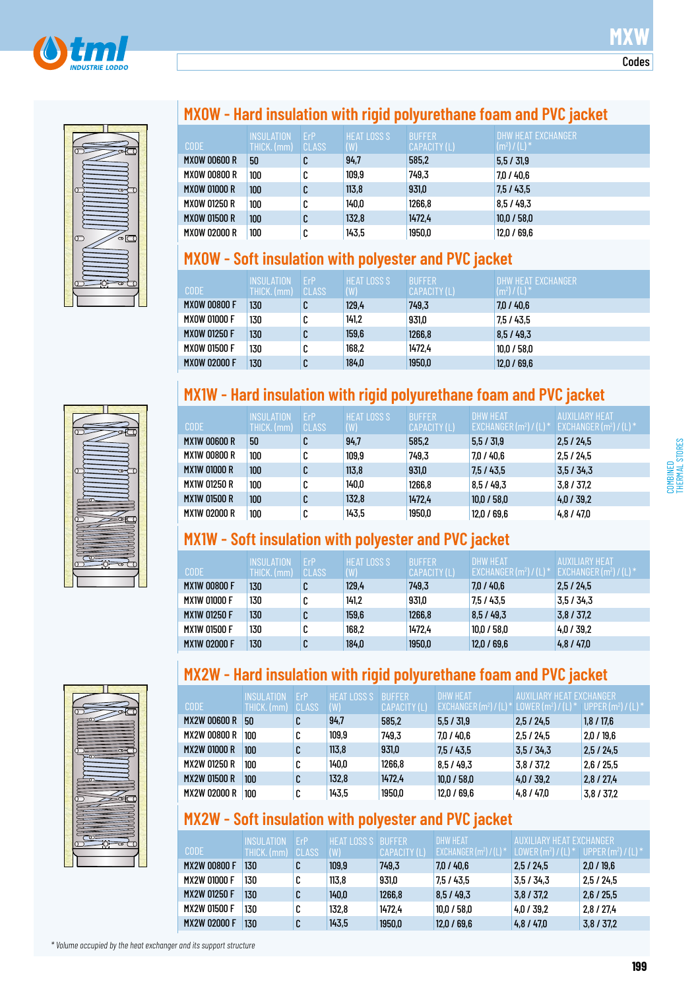



#### **MX0W - Hard insulation with rigid polyurethane foam and PVC jacket**

| <b>CODE</b>  | <b>INSULATION</b><br>THICK. (mm) | <b>FrP</b><br>CLASS | <b>HEAT LOSS S</b><br>(W) | <b>BUFFER</b><br>CAPACITY (L) | DHW HEAT FXCHANGER<br>$(m^2) / (L)^*$ |
|--------------|----------------------------------|---------------------|---------------------------|-------------------------------|---------------------------------------|
| MXOW 00600 R | 50                               | C                   | 94,7                      | 585,2                         | 5,5/31,9                              |
| MXOW 00800 R | 100                              | u                   | 109,9                     | 749.3                         | 7.0 / 40.6                            |
| MXOW 01000 R | 100                              | C                   | 113,8                     | 931,0                         | 7,5/43,5                              |
| MXOW 01250 R | 100                              | C                   | 140,0                     | 1266.8                        | 8.5/49.3                              |
| MXOW 01500 R | 100                              | u                   | 132,8                     | 1472.4                        | 10.0 / 58.0                           |
| MXOW 02000 R | 100                              | r<br>U              | 143,5                     | 1950,0                        | 12.0 / 69.6                           |

#### **MX0W - Soft insulation with polyester and PVC jacket**

| <b>CODE</b>         | <b>INSULATION</b><br>THICK. (mm) | FrP<br>CLASS | <b>HEAT LOSS S</b><br>(W) | <b>BUFFER</b><br>CAPACITY (L) | DHW HEAT FXCHANGER<br>$(m^2) / (L)^*$ |
|---------------------|----------------------------------|--------------|---------------------------|-------------------------------|---------------------------------------|
| <b>MXOW 00800 F</b> | 130                              | C            | 129,4                     | 749,3                         | 7,0/40,6                              |
| MXOW 01000 F        | 130                              | C            | 141.2                     | 931,0                         | 7.5 / 43.5                            |
| <b>MXOW 01250 F</b> | 130                              | C            | 159,6                     | 1266,8                        | 8,5/49,3                              |
| <b>MXOW 01500 F</b> | 130                              | C            | 168,2                     | 1472.4                        | 10.0 / 58.0                           |
| <b>MXOW 02000 F</b> | 130                              | C            | 184,0                     | 1950,0                        | 12.0 / 69.6                           |

#### **MX1W - Hard insulation with rigid polyurethane foam and PVC jacket**

| <b>CODE</b>         | <b>INSULATION</b><br>THICK. (mm) | ErP<br><b>CLASS</b> | <b>HEAT LOSS S</b><br>(W) | <b>BUFFER</b><br>CAPACITY (L) | <b>DHW HEAT</b><br>EXCHANGER $(m^2) / (L)^*$ | <b>AUXILIARY HEAT</b><br>EXCHANGER $(m^2) / (L)^*$ |
|---------------------|----------------------------------|---------------------|---------------------------|-------------------------------|----------------------------------------------|----------------------------------------------------|
| <b>MX1W 00600 R</b> | 50                               | C                   | 94,7                      | 585,2                         | 5,5/31,9                                     | 2,5/24,5                                           |
| <b>MX1W 00800 R</b> | 100                              | C                   | 109,9                     | 749,3                         | 7.0 / 40.6                                   | 2,5/24,5                                           |
| <b>MX1W 01000 R</b> | 100                              | C                   | 113,8                     | 931,0                         | 7,5/43,5                                     | 3,5/34,3                                           |
| <b>MX1W 01250 R</b> | 100                              | C                   | 140,0                     | 1266,8                        | 8.5/49.3                                     | 3,8/37,2                                           |
| <b>MX1W 01500 R</b> | 100                              | C                   | 132,8                     | 1472.4                        | 10,0/58,0                                    | 4,0/39,2                                           |
| <b>MX1W 02000 R</b> | 100                              | C                   | 143,5                     | 1950,0                        | 12.0 / 69.6                                  | 4.8 / 47.0                                         |

#### **MX1W - Soft insulation with polyester and PVC jacket**

| <b>CODE</b>         | <b>INSULATION</b><br>THICK. (mm) | ErP<br>CLASS | <b>HEAT LOSS S</b><br>(W) | <b>BUFFER</b><br>CAPACITY (L) | <b>DHW HEAT</b> | AUXILIARY HEAT<br>EXCHANGER $(m^2) / (L)^*$ EXCHANGER $(m^2) / (L)^*$ |
|---------------------|----------------------------------|--------------|---------------------------|-------------------------------|-----------------|-----------------------------------------------------------------------|
| <b>MX1W 00800 F</b> | 130                              | C            | 129,4                     | 749.3                         | 7,0/40,6        | 2,5/24,5                                                              |
| <b>MX1W 01000 F</b> | 130                              | C            | 141,2                     | 931,0                         | 7.5 / 43.5      | 3.5 / 34.3                                                            |
| <b>MX1W 01250 F</b> | 130                              | C            | 159,6                     | 1266,8                        | 8,5/49,3        | 3,8/37,2                                                              |
| <b>MX1W 01500 F</b> | 130                              | C            | 168,2                     | 1472.4                        | 10.0 / 58.0     | 4.0 / 39.2                                                            |
| <b>MX1W 02000 F</b> | 130                              | C            | 184,0                     | 1950,0                        | 12,0/69,6       | 4,8/47,0                                                              |

#### **MX2W - Hard insulation with rigid polyurethane foam and PVC jacket**

| <b>CODE</b>         | <b>INSULATION</b><br>THICK. (mm) | FrP<br><b>CLASS</b> | <b>HEAT LOSS S</b><br>(W) | <b>BUFFER</b><br>CAPACITY (L) | <b>DHW HEAT</b><br>$\frac{1}{2}$ EXCHANGER (m <sup>2</sup> )/(L) * LOWER (m <sup>2</sup> )/(L) * UPPER (m <sup>2</sup> )/(L) * | AUXII IARY HFAT FXCHANGFR |            |
|---------------------|----------------------------------|---------------------|---------------------------|-------------------------------|--------------------------------------------------------------------------------------------------------------------------------|---------------------------|------------|
| <b>MX2W 00600 R</b> | 50                               | C                   | 94.7                      | 585,2                         | 5.5 / 31.9                                                                                                                     | 2.5/24.5                  | 1.8 / 17.6 |
| MX2W 00800 R        | 100                              | u                   | 109,9                     | 749,3                         | 7,0/40,6                                                                                                                       | 2.5/24.5                  | 2.0 / 19.6 |
| <b>MX2W 01000 R</b> | 100                              |                     | 113.8                     | 931,0                         | 7,5/43,5                                                                                                                       | 3,5/34,3                  | 2,5/24,5   |
| MX2W 01250 R        | 100                              | r<br>u              | 140,0                     | 1266.8                        | 8.5/49.3                                                                                                                       | 3,8/37,2                  | 2,6/25,5   |
| <b>MX2W 01500 R</b> | 100                              | u                   | 132,8                     | 1472.4                        | 10,0/58,0                                                                                                                      | 4.0 / 39.2                | 2,8/27,4   |
| <b>MX2W 02000 R</b> | 100                              |                     | 143,5                     | 1950,0                        | 12.0 / 69.6                                                                                                                    | 4.8 / 47.0                | 3.8 / 37.2 |

### **MX2W - Soft insulation with polyester and PVC jacket**

|                     | <b>INSULATION</b> | FrP | <b>HEAT LOSS S BUFFER</b> |              | DHW HEAT                                                              | <b>AUXILIARY HEAT EXCHANGER</b> |            |
|---------------------|-------------------|-----|---------------------------|--------------|-----------------------------------------------------------------------|---------------------------------|------------|
| <b>CODE</b>         | THICK. (mm) CLASS |     | (W)'                      | CAPACITY (L) | EXCHANGER $(m^2) / (L)^*$ LOWER $(m^2) / (L)^*$ UPPER $(m^2) / (L)^*$ |                                 |            |
| <b>MX2W 00800 F</b> | 130               | C   | 109.9                     | 749.3        | 7.0 / 40.6                                                            | 2,5/24,5                        | 2,0/19,6   |
| MX2W 01000 F        | 130               | u   | 113,8                     | 931.0        | 7.5 / 43.5                                                            | 3,5/34,3                        | 2,5/24,5   |
| MX2W 01250 F        | 130               |     | 140,0                     | 1266,8       | 8,5/49,3                                                              | 3.8 / 37.2                      | 2,6/25,5   |
| <b>MX2W 01500 F</b> | 130               |     | 132,8                     | 1472.4       | 10.0 / 58.0                                                           | 4.0 / 39.2                      | 2.8 / 27.4 |
| <b>MX2W 02000 F</b> | 130               |     | 143,5                     | 1950,0       | 12,0/69,6                                                             | 4,8/47,0                        | 3,8/37,2   |

**MXW**

Codes

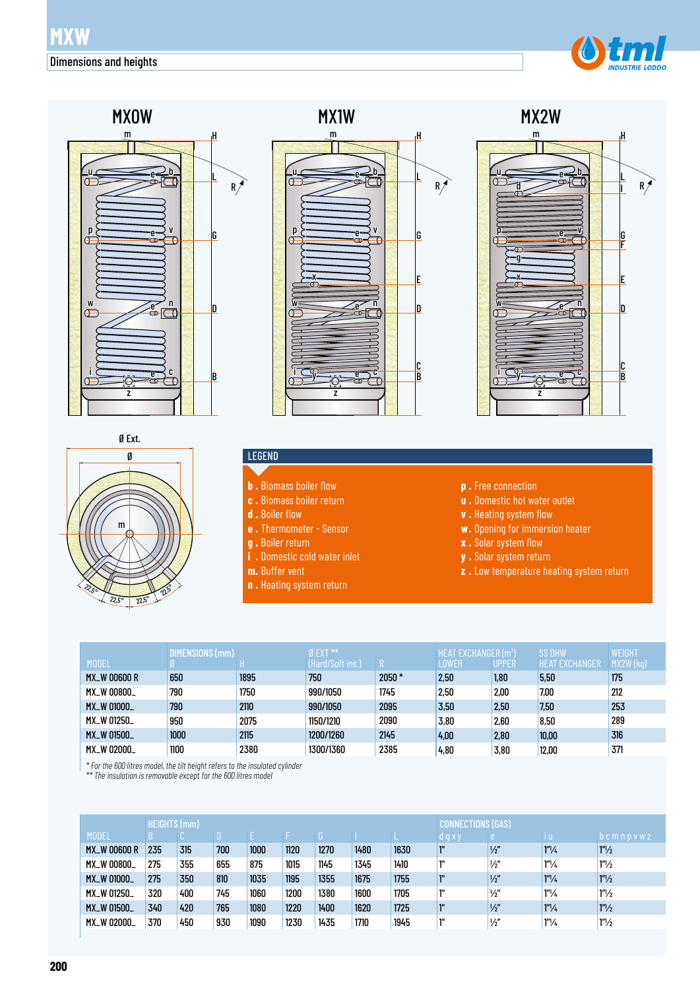









#### LEGEND

- 
- **b .** Biomass boiler flow
- **c .** Biomass boiler return
- **d .** Boiler flow
- **e .** Thermometer Sensor
- **g .** Boiler return
- **i .** Domestic cold water inlet
- **m.** Buffer vent
- **n .** Heating system return

**p .** Free connection

**u .** Domestic hot water outlet

- **v .** Heating system flow
- **w.** Opening for immersion heater
- **x .** Solar system flow
- **y .** Solar system return
- **z .** Low temperature heating system return

|                     | DIMENSIONS (mm) |      | <b>DEXT ** 1</b> |         | HEAT EXCHANGER (m <sup>2</sup> ) |       | <b>SS DHW</b>         | WEIGHT   |
|---------------------|-----------------|------|------------------|---------|----------------------------------|-------|-----------------------|----------|
| <b>MODEL</b>        |                 |      | (Hard/Soft ins.) |         | LOWER                            | UPPER | <b>HEAT EXCHANGER</b> | MX2W(kg) |
| <b>MX_W 00600 R</b> | 650             | 1895 | 750              | $2050*$ | 2,50                             | 1,80  | 5,50                  | 175      |
| MX_W 00800_         | 790             | 1750 | 990/1050         | 1745    | 2,50                             | 2,00  | 7,00                  | 212      |
| <b>MX_W 01000_</b>  | 790             | 2110 | 990/1050         | 2095    | 3,50                             | 2,50  | 7,50                  | 253      |
| MX_W 01250_         | 950             | 2075 | 1150/1210        | 2090    | 3,80                             | 2,60  | 8,50                  | 289      |
| <b>MX_W 01500_</b>  | 1000            | 2115 | 1200/1260        | 2145    | 4,00                             | 2,80  | 10,00                 | 316      |
| MX_W 02000_         | 1100            | 2380 | 1300/1360        | 2385    | 4,80                             | 3,80  | 12,00                 | 371      |

*\* For the 600 litres model, the tilt height refers to the insulated cylinder \*\* The insulation is removable except for the 600 litres model*

| <b>HEIGHTS (mm)</b> |     |     |     |      |      |      |      |      |         | <b>CONNECTIONS (GAS)</b> |                   |                               |  |
|---------------------|-----|-----|-----|------|------|------|------|------|---------|--------------------------|-------------------|-------------------------------|--|
| <b>MODEL</b>        |     |     |     |      |      |      |      |      | d g x y | re '                     | ίu                | $\frac{1}{2}$ b c m n p v w z |  |
| <b>MX_W 00600 R</b> | 235 | 315 | 700 | 1000 | 1120 | 1270 | 1480 | 1630 | ľ"      | $\frac{1}{2}$            | $1''\frac{1}{4}$  | $1''\frac{1}{2}$              |  |
| MX_W 00800_         | 275 | 355 | 655 | 875  | 1015 | 1145 | 1345 | 1410 | 111     | $\frac{1}{2}$            | 1 <sup>n</sup> /4 | $1''\frac{1}{2}$              |  |
| MX_W 01000_         | 275 | 350 | 810 | 1035 | 1195 | 1355 | 1675 | 1755 | 1"      | $\frac{1}{2}$            | $1''\frac{1}{4}$  | $1''\frac{1}{2}$              |  |
| MX_W 01250_         | 320 | 400 | 745 | 1060 | 1200 | 1380 | 1600 | 1705 | 111     | $\frac{1}{2}$            | 1 <sup>n</sup> /4 | $1''\frac{1}{2}$              |  |
| MX_W 01500_         | 340 | 420 | 765 | 1080 | 1220 | 1400 | 1620 | 1725 | 111     | $\frac{1}{2}$            | 1''/4             | $1''\frac{1}{2}$              |  |
| MX_W 02000_         | 370 | 450 | 930 | 1090 | 1230 | 1435 | 1710 | 1945 | 111     | $\frac{1}{2}$            | $1''\frac{1}{4}$  | $1''\frac{1}{2}$              |  |
|                     |     |     |     |      |      |      |      |      |         |                          |                   |                               |  |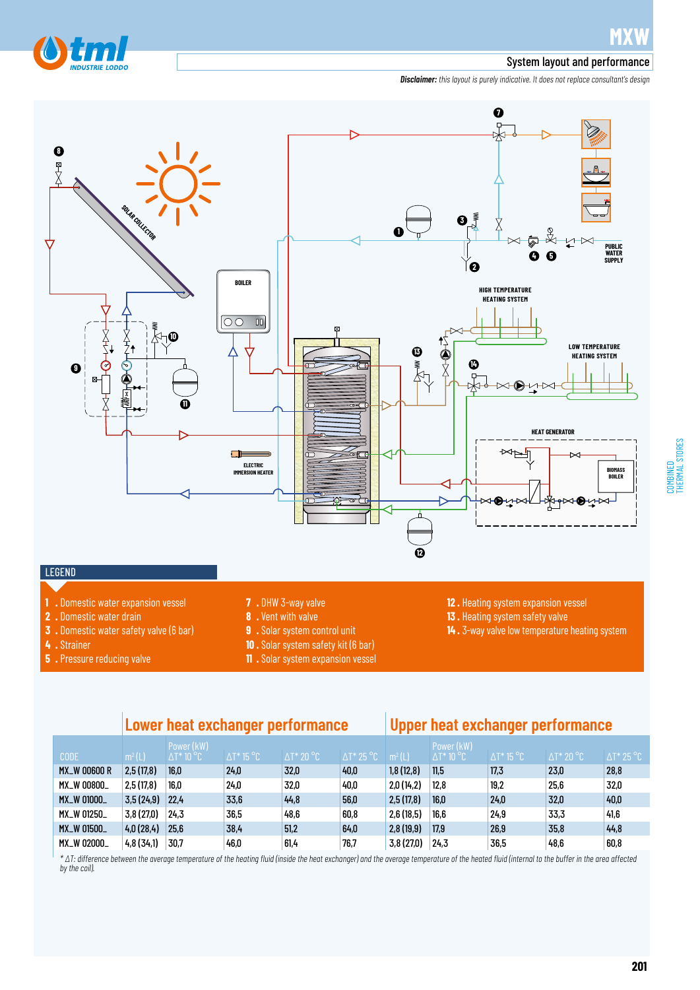

#### System layout and performance

*Disclaimer: this layout is purely indicative. It does not replace consultant's design*



#### LEGEND

- 
- **1 .** Domestic water expansion vessel
- **2 .** Domestic water drain
- **3 .** Domestic water safety valve (6 bar)
- **4 .** Strainer
- **5 .** Pressure reducing valve
- **7 .** DHW 3-way valve
- **8 .** Vent with valve
- **9 .** Solar system control unit
- **10 .** Solar system safety kit (6 bar)
- **11 .** Solar system expansion vessel
- **12 .** Heating system expansion vessel **13 .** Heating system safety valve
- **14 .** 3-way valve low temperature heating system

|                     | Lower heat exchanger performance |                                 |                    |                    |                    |                    | Upper heat exchanger performance       |                    |                    |                    |  |
|---------------------|----------------------------------|---------------------------------|--------------------|--------------------|--------------------|--------------------|----------------------------------------|--------------------|--------------------|--------------------|--|
| <b>CODE</b>         | m <sup>2</sup> (L)               | Power (kW)<br>$\Delta$ T* 10 °C | $\Delta T^*$ 15 °C | $\Delta T^*$ 20 °C | $\Delta T^*$ 25 °C | m <sup>2</sup> (L) | Power (kW)<br>$\Delta$ T* 10 °C $^{-}$ | $\Delta T^*$ 15 °C | $\Delta T^*$ 20 °C | $\Delta T^*$ 25 °C |  |
| <b>MX_W 00600 R</b> | 2,5(17,8)                        | 16.0                            | 24,0               | 32,0               | 40.0               | 1,8(12,8)          | 11.5                                   | 17,3               | 23,0               | 28,8               |  |
| MX_W 00800_         | 2,5(17,8)                        | 16.0                            | 24,0               | 32.0               | 40,0               | 2,0(14,2)          | 12.8                                   | 19,2               | 25,6               | 32,0               |  |
| MX_W 01000_         | 3,5(24,9)                        | 22.4                            | 33,6               | 44,8               | 56,0               | 2,5(17,8)          | 16.0                                   | 24,0               | 32,0               | 40,0               |  |
| MX_W 01250_         | 3,8(27,0)                        | 24,3                            | 36,5               | 48,6               | 60,8               | 2,6(18,5)          | 16,6                                   | 24,9               | 33,3               | 41,6               |  |
| <b>MX_W 01500_</b>  | 4,0(28,4)                        | 25.6                            | 38,4               | 51,2               | 64,0               | 2,8(19,9)          | 17,9                                   | 26,9               | 35,8               | 44,8               |  |
| MX_W 02000_         | 4,8(34,1)                        | 30,7                            | 46,0               | 61,4               | 76,7               | 3,8 (27,0)         | 24,3                                   | 36,5               | 48,6               | 60,8               |  |

*\* ∆T: difference between the average temperature of the heating fluid (inside the heat exchanger) and the average temperature of the heated fluid (internal to the buffer in the area affected by the coil).*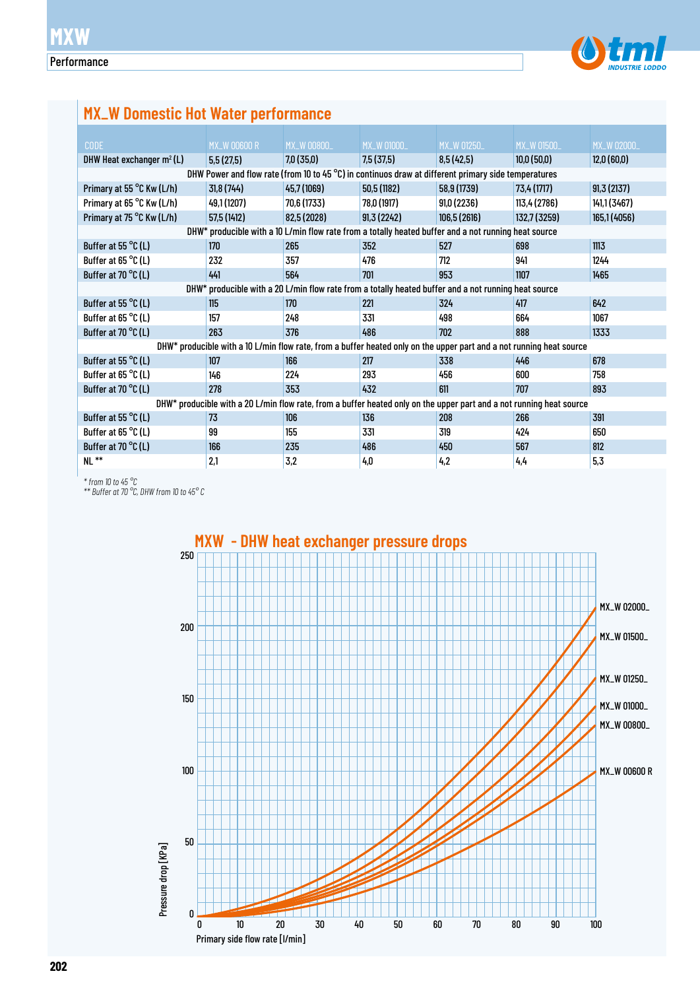

## **MX\_W Domestic Hot Water performance**

| <b>CODE</b>                                                                                          | <b>MX_W 00600 R</b> | MX_W 00800_ | MX_W 01000_                                                                                                          | MX_W 01250_  | <b>MX_W 01500_</b> | MX_W 02000_  |  |  |  |  |  |
|------------------------------------------------------------------------------------------------------|---------------------|-------------|----------------------------------------------------------------------------------------------------------------------|--------------|--------------------|--------------|--|--|--|--|--|
| DHW Heat exchanger $m^2(L)$                                                                          | 5,5(27,5)           | 7,0(35,0)   | 7,5(37,5)                                                                                                            | 8,5(42,5)    | 10,0(50,0)         | 12,0(60,0)   |  |  |  |  |  |
| DHW Power and flow rate (from 10 to 45 °C) in continuos draw at different primary side temperatures  |                     |             |                                                                                                                      |              |                    |              |  |  |  |  |  |
| Primary at 55 °C Kw (L/h)                                                                            | 31,8 (744)          | 45,7 (1069) | 50,5(1182)                                                                                                           | 58,9 (1739)  | 73.4 (1717)        | 91,3 (2137)  |  |  |  |  |  |
| Primary at 65 °C Kw (L/h)                                                                            | 49,1 (1207)         | 70,6 (1733) | 78,0 (1917)                                                                                                          | 91,0(2236)   | 113,4 (2786)       | 141,1 (3467) |  |  |  |  |  |
| Primary at 75 °C Kw (L/h)                                                                            | 57,5 (1412)         | 82,5 (2028) | 91,3(2242)                                                                                                           | 106,5 (2616) | 132,7 (3259)       | 165,1 (4056) |  |  |  |  |  |
|                                                                                                      |                     |             | DHW* producible with a 10 L/min flow rate from a totally heated buffer and a not running heat source                 |              |                    |              |  |  |  |  |  |
| Buffer at 55 $\degree$ C (L)                                                                         | 170                 | 265         | 352                                                                                                                  | 527          | 698                | 1113         |  |  |  |  |  |
| Buffer at 65 °C (L)                                                                                  | 232                 | 357         | 476                                                                                                                  | 712          | 941                | 1244         |  |  |  |  |  |
| Buffer at 70 °C (L)                                                                                  | 441                 | 564         | 701                                                                                                                  | 953          | 1107               | 1465         |  |  |  |  |  |
| DHW* producible with a 20 L/min flow rate from a totally heated buffer and a not running heat source |                     |             |                                                                                                                      |              |                    |              |  |  |  |  |  |
| Buffer at 55 °C (L)                                                                                  | 115                 | 170         | 221                                                                                                                  | 324          | 417                | 642          |  |  |  |  |  |
| Buffer at 65 $^{\circ}$ C (L)                                                                        | 157                 | 248         | 331                                                                                                                  | 498          | 664                | 1067         |  |  |  |  |  |
| Buffer at 70 °C (L)                                                                                  | 263                 | 376         | 486                                                                                                                  | 702          | 888                | 1333         |  |  |  |  |  |
|                                                                                                      |                     |             | DHW* producible with a 10 L/min flow rate, from a buffer heated only on the upper part and a not running heat source |              |                    |              |  |  |  |  |  |
| Buffer at 55 $^{\circ}$ C (L)                                                                        | 107                 | 166         | 217                                                                                                                  | 338          | 446                | 678          |  |  |  |  |  |
| Buffer at 65 $\degree$ C(L)                                                                          | 146                 | 224         | 293                                                                                                                  | 456          | 600                | 758          |  |  |  |  |  |
| Buffer at 70 °C (L)                                                                                  | 278                 | 353         | 432                                                                                                                  | 611          | 707                | 893          |  |  |  |  |  |
|                                                                                                      |                     |             | DHW* producible with a 20 L/min flow rate, from a buffer heated only on the upper part and a not running heat source |              |                    |              |  |  |  |  |  |
| Buffer at 55 $\degree$ C (L)                                                                         | 73                  | 106         | 136                                                                                                                  | 208          | 266                | 391          |  |  |  |  |  |
| Buffer at 65 $^{\circ}$ C (L)                                                                        | 99                  | 155         | 331                                                                                                                  | 319          | 424                | 650          |  |  |  |  |  |
| Buffer at 70 °C (L)                                                                                  | 166                 | 235         | 486                                                                                                                  | 450          | 567                | 812          |  |  |  |  |  |
| $N!$ **                                                                                              | 2.1                 | 3,2         | 4,0                                                                                                                  | 4,2          | 4,4                | 5,3          |  |  |  |  |  |
|                                                                                                      |                     |             |                                                                                                                      |              |                    |              |  |  |  |  |  |

*\* from 10 to 45 °C*

*\*\* Buffer at 70 °C, DHW from 10 to 45° C*